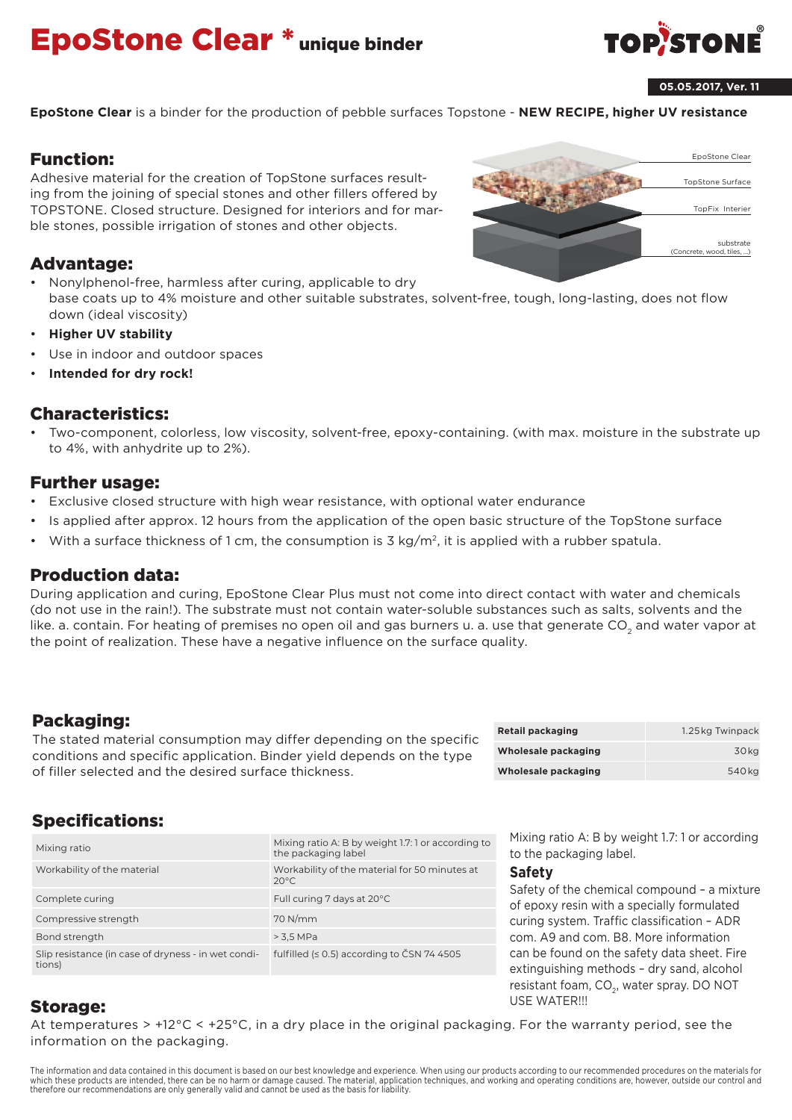# EpoStone Clear \* unique binder



#### **05.05.2017, Ver. 11**

**EpoStone Clear** is a binder for the production of pebble surfaces Topstone - **NEW RECIPE, higher UV resistance**

#### Function:

Adhesive material for the creation of TopStone surfaces resulting from the joining of special stones and other fillers offered by TOPSTONE. Closed structure. Designed for interiors and for marble stones, possible irrigation of stones and other objects.

#### Advantage:

- Nonylphenol-free, harmless after curing, applicable to dry base coats up to 4% moisture and other suitable substrates, solvent-free, tough, long-lasting, does not flow down (ideal viscosity)
- **Higher UV stability**
- Use in indoor and outdoor spaces
- **Intended for dry rock!**

#### Characteristics:

• Two-component, colorless, low viscosity, solvent-free, epoxy-containing. (with max. moisture in the substrate up to 4%, with anhydrite up to 2%).

#### Further usage:

- Exclusive closed structure with high wear resistance, with optional water endurance
- Is applied after approx. 12 hours from the application of the open basic structure of the TopStone surface
- With a surface thickness of 1 cm, the consumption is 3 kg/m<sup>2</sup>, it is applied with a rubber spatula.

#### Production data:

During application and curing, EpoStone Clear Plus must not come into direct contact with water and chemicals (do not use in the rain!). The substrate must not contain water-soluble substances such as salts, solvents and the like. a. contain. For heating of premises no open oil and gas burners u. a. use that generate CO<sub>2</sub> and water vapor at the point of realization. These have a negative influence on the surface quality.

#### Packaging:

The stated material consumption may differ depending on the specific conditions and specific application. Binder yield depends on the type of filler selected and the desired surface thickness.

| <b>Retail packaging</b> | 1.25 kg Twinpack |
|-------------------------|------------------|
| Wholesale packaging     | 30 kg            |
| Wholesale packaging     | 540 kg           |

# Specifications:

| Mixing ratio                                                  | Mixing ratio A: B by weight 1.7: 1 or according to<br>the packaging label |
|---------------------------------------------------------------|---------------------------------------------------------------------------|
| Workability of the material                                   | Workability of the material for 50 minutes at<br>$20^{\circ}$ C           |
| Complete curing                                               | Full curing 7 days at 20°C                                                |
| Compressive strength                                          | $70$ N/mm                                                                 |
| Bond strength                                                 | > 3,5 MPa                                                                 |
| Slip resistance (in case of dryness - in wet condi-<br>tions) | fulfilled ( $\leq$ 0.5) according to CSN 74 4505                          |

Mixing ratio A: B by weight 1.7: 1 or according to the packaging label.

#### **Safety**

Safety of the chemical compound – a mixture of epoxy resin with a specially formulated curing system. Traffic classification – ADR com. A9 and com. B8. More information can be found on the safety data sheet. Fire extinguishing methods – dry sand, alcohol resistant foam, CO<sub>2</sub>, water spray. DO NOT USE WATER!!!

#### Storage:

At temperatures > +12°C < +25°C, in a dry place in the original packaging. For the warranty period, see the information on the packaging.

The information and data contained in this document is based on our best knowledge and experience. When using our products according to our recommended procedures on the materials for which these products are intended, there can be no harm or damage caused. The material, application techniques, and working and operating conditions are, however, outside our control and therefore our recommendations are only generally valid and cannot be used as the basis for liability.